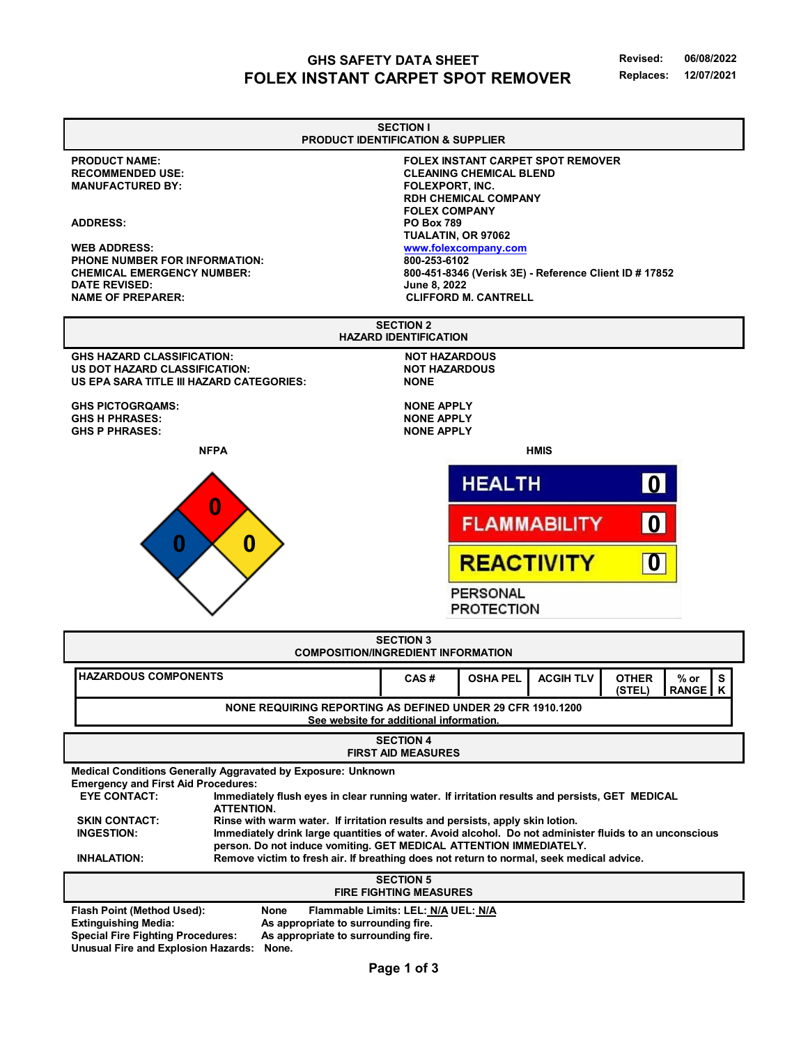## **GHS SAFETY DATA SHEET FOLEX INSTANT CARPET SPOT REMOVER**

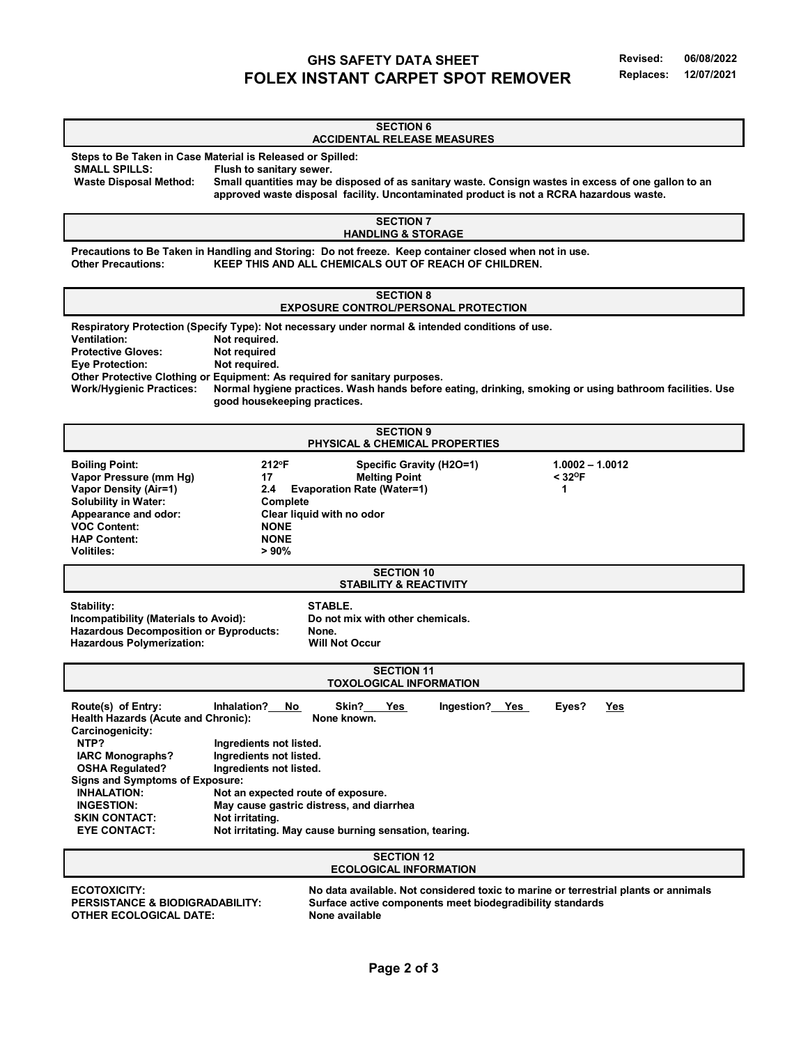# **GHS SAFETY DATA SHEET FOLEX INSTANT CARPET SPOT REMOVER**

| <b>SECTION 6</b><br><b>ACCIDENTAL RELEASE MEASURES</b>                                                                                                                                                                                                                                                                                                                                                                                                                                                                                                                                                 |                                                            |
|--------------------------------------------------------------------------------------------------------------------------------------------------------------------------------------------------------------------------------------------------------------------------------------------------------------------------------------------------------------------------------------------------------------------------------------------------------------------------------------------------------------------------------------------------------------------------------------------------------|------------------------------------------------------------|
| Steps to Be Taken in Case Material is Released or Spilled:<br><b>SMALL SPILLS:</b><br>Flush to sanitary sewer.<br><b>Waste Disposal Method:</b><br>Small quantities may be disposed of as sanitary waste. Consign wastes in excess of one gallon to an<br>approved waste disposal facility. Uncontaminated product is not a RCRA hazardous waste.                                                                                                                                                                                                                                                      |                                                            |
| <b>SECTION 7</b><br><b>HANDLING &amp; STORAGE</b>                                                                                                                                                                                                                                                                                                                                                                                                                                                                                                                                                      |                                                            |
| Precautions to Be Taken in Handling and Storing: Do not freeze. Keep container closed when not in use.<br><b>Other Precautions:</b><br>KEEP THIS AND ALL CHEMICALS OUT OF REACH OF CHILDREN.                                                                                                                                                                                                                                                                                                                                                                                                           |                                                            |
| <b>SECTION 8</b><br><b>EXPOSURE CONTROL/PERSONAL PROTECTION</b>                                                                                                                                                                                                                                                                                                                                                                                                                                                                                                                                        |                                                            |
| Respiratory Protection (Specify Type): Not necessary under normal & intended conditions of use.<br><b>Ventilation:</b><br>Not required.<br>Not required<br><b>Protective Gloves:</b><br>Not required.<br><b>Eye Protection:</b><br>Other Protective Clothing or Equipment: As required for sanitary purposes.<br>Normal hygiene practices. Wash hands before eating, drinking, smoking or using bathroom facilities. Use<br><b>Work/Hygienic Practices:</b><br>good housekeeping practices.                                                                                                            |                                                            |
| <b>SECTION 9</b><br>PHYSICAL & CHEMICAL PROPERTIES                                                                                                                                                                                                                                                                                                                                                                                                                                                                                                                                                     |                                                            |
| <b>Boiling Point:</b><br>212°F<br>Specific Gravity (H2O=1)<br>Vapor Pressure (mm Hg)<br><b>Melting Point</b><br>17<br><b>Vapor Density (Air=1)</b><br>2.4<br><b>Evaporation Rate (Water=1)</b><br><b>Solubility in Water:</b><br>Complete<br>Appearance and odor:<br>Clear liquid with no odor<br><b>VOC Content:</b><br><b>NONE</b><br><b>NONE</b><br><b>HAP Content:</b><br><b>Volitiles:</b><br>> 90%                                                                                                                                                                                               | $1.0002 - 1.0012$<br>$<$ 32 $\mathrm{^{\mathrm{o}}F}$<br>1 |
| <b>SECTION 10</b><br><b>STABILITY &amp; REACTIVITY</b>                                                                                                                                                                                                                                                                                                                                                                                                                                                                                                                                                 |                                                            |
| STABLE.<br>Stability:<br>Incompatibility (Materials to Avoid):<br>Do not mix with other chemicals.<br><b>Hazardous Decomposition or Byproducts:</b><br>None.<br>Hazardous Polymerization:<br><b>Will Not Occur</b>                                                                                                                                                                                                                                                                                                                                                                                     |                                                            |
| <b>SECTION 11</b><br><b>TOXOLOGICAL INFORMATION</b>                                                                                                                                                                                                                                                                                                                                                                                                                                                                                                                                                    |                                                            |
| Route(s) of Entry:<br>Inhalation?<br>Skin?<br>Yes<br>No<br>Yes<br>Ingestion?<br>Health Hazards (Acute and Chronic):<br>None known.<br>Carcinogenicity:<br>NTP?<br>Ingredients not listed.<br>Ingredients not listed.<br><b>IARC Monographs?</b><br><b>OSHA Regulated?</b><br>Ingredients not listed.<br><b>Signs and Symptoms of Exposure:</b><br><b>INHALATION:</b><br>Not an expected route of exposure.<br>May cause gastric distress, and diarrhea<br><b>INGESTION:</b><br>Not irritating.<br><b>SKIN CONTACT:</b><br><b>EYE CONTACT:</b><br>Not irritating. May cause burning sensation, tearing. | Eyes?<br>Yes                                               |
| <b>SECTION 12</b><br><b>ECOLOGICAL INFORMATION</b>                                                                                                                                                                                                                                                                                                                                                                                                                                                                                                                                                     |                                                            |
| <b>ECOTOXICITY:</b><br>No data available. Not considered toxic to marine or terrestrial plants or annimals<br><b>PERSISTANCE &amp; BIODIGRADABILITY:</b><br>Surface active components meet biodegradibility standards<br><b>OTHER ECOLOGICAL DATE:</b><br>None available                                                                                                                                                                                                                                                                                                                               |                                                            |